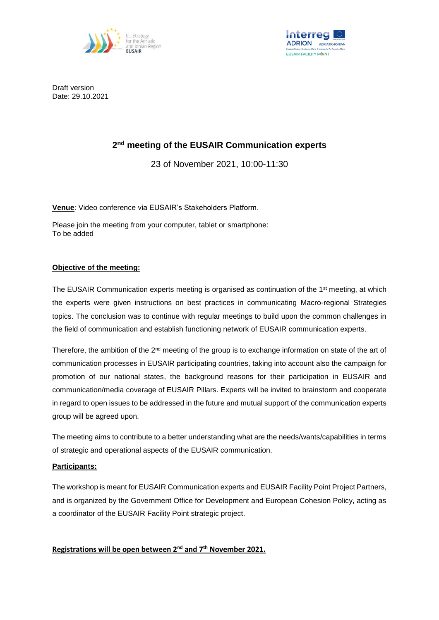



Draft version Date: 29.10.2021

# **2 nd meeting of the EUSAIR Communication experts**

23 of November 2021, 10:00-11:30

**Venue**: Video conference via EUSAIR's Stakeholders Platform.

Please join the meeting from your computer, tablet or smartphone: To be added

#### **Objective of the meeting:**

The EUSAIR Communication experts meeting is organised as continuation of the 1<sup>st</sup> meeting, at which the experts were given instructions on best practices in communicating Macro-regional Strategies topics. The conclusion was to continue with regular meetings to build upon the common challenges in the field of communication and establish functioning network of EUSAIR communication experts.

Therefore, the ambition of the 2<sup>nd</sup> meeting of the group is to exchange information on state of the art of communication processes in EUSAIR participating countries, taking into account also the campaign for promotion of our national states, the background reasons for their participation in EUSAIR and communication/media coverage of EUSAIR Pillars. Experts will be invited to brainstorm and cooperate in regard to open issues to be addressed in the future and mutual support of the communication experts group will be agreed upon.

The meeting aims to contribute to a better understanding what are the needs/wants/capabilities in terms of strategic and operational aspects of the EUSAIR communication.

#### **Participants:**

The workshop is meant for EUSAIR Communication experts and EUSAIR Facility Point Project Partners, and is organized by the Government Office for Development and European Cohesion Policy, acting as a coordinator of the EUSAIR Facility Point strategic project.

### **Registrations will be open between 2nd and 7th November 2021.**